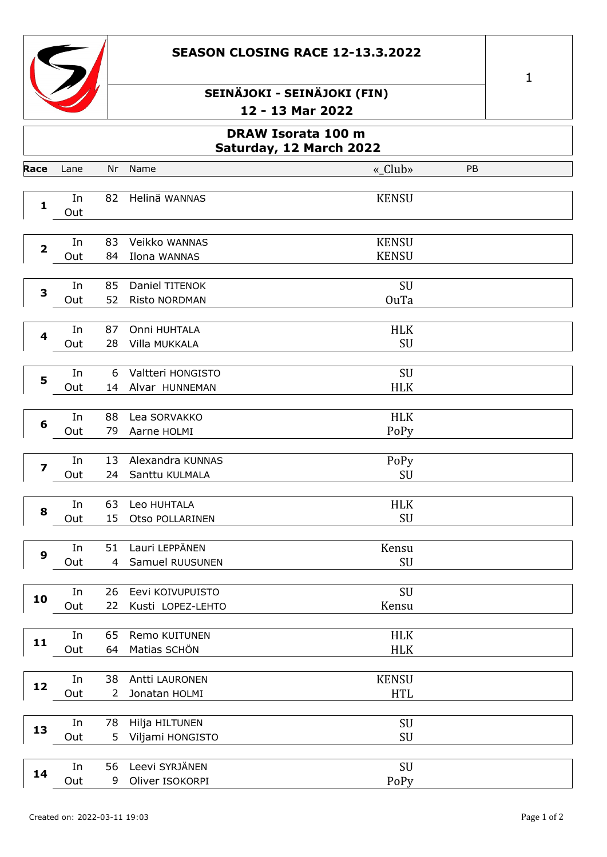



|                         |                                                      |                      | ∸                                     | IJ MAI LULL                  |    |  |  |  |  |  |
|-------------------------|------------------------------------------------------|----------------------|---------------------------------------|------------------------------|----|--|--|--|--|--|
|                         | <b>DRAW Isorata 100 m</b><br>Saturday, 12 March 2022 |                      |                                       |                              |    |  |  |  |  |  |
| Race                    | Lane                                                 | Nr                   | Name                                  | «_Club»                      | PB |  |  |  |  |  |
| $\mathbf{1}$            | In<br>Out                                            | 82                   | Helinä WANNAS                         | <b>KENSU</b>                 |    |  |  |  |  |  |
| $\overline{\mathbf{2}}$ | In<br>Out                                            | 83<br>84             | Veikko WANNAS<br>Ilona WANNAS         | <b>KENSU</b><br><b>KENSU</b> |    |  |  |  |  |  |
| 3                       | In<br>Out                                            | 85<br>52             | Daniel TITENOK<br>Risto NORDMAN       | SU<br><b>OuTa</b>            |    |  |  |  |  |  |
| 4                       | In<br>Out                                            | 87<br>28             | Onni HUHTALA<br>Villa MUKKALA         | <b>HLK</b><br>SU             |    |  |  |  |  |  |
| 5                       | In<br>Out                                            | 6<br>14              | Valtteri HONGISTO<br>Alvar HUNNEMAN   | SU<br><b>HLK</b>             |    |  |  |  |  |  |
| $6\phantom{1}6$         | In<br>Out                                            | 88<br>79             | Lea SORVAKKO<br>Aarne HOLMI           | <b>HLK</b><br>PoPy           |    |  |  |  |  |  |
| $\overline{\mathbf{z}}$ | In<br>Out                                            | 13<br>24             | Alexandra KUNNAS<br>Santtu KULMALA    | PoPy<br>SU                   |    |  |  |  |  |  |
| 8                       | In<br>Out                                            | 63<br>15             | Leo HUHTALA<br>Otso POLLARINEN        | <b>HLK</b><br>SU             |    |  |  |  |  |  |
| 9                       | In<br>Out                                            | 51<br>$\overline{4}$ | Lauri LEPPÄNEN<br>Samuel RUUSUNEN     | Kensu<br>SU                  |    |  |  |  |  |  |
| 10                      | In<br>Out                                            | 26<br>22             | Eevi KOIVUPUISTO<br>Kusti LOPEZ-LEHTO | SU<br>Kensu                  |    |  |  |  |  |  |
| 11                      | In<br>Out                                            | 65<br>64             | Remo KUITUNEN<br>Matias SCHÖN         | <b>HLK</b><br><b>HLK</b>     |    |  |  |  |  |  |
| 12                      | In<br>Out                                            | 38<br>2              | Antti LAURONEN<br>Jonatan HOLMI       | <b>KENSU</b><br><b>HTL</b>   |    |  |  |  |  |  |
| 13                      | In<br>Out                                            | 78<br>5              | Hilja HILTUNEN<br>Viljami HONGISTO    | SU<br>SU                     |    |  |  |  |  |  |
|                         | In                                                   | 56                   | Leevi SYRJÄNEN                        | SU                           |    |  |  |  |  |  |

9 Oliver ISOKORPI

Out

PoPy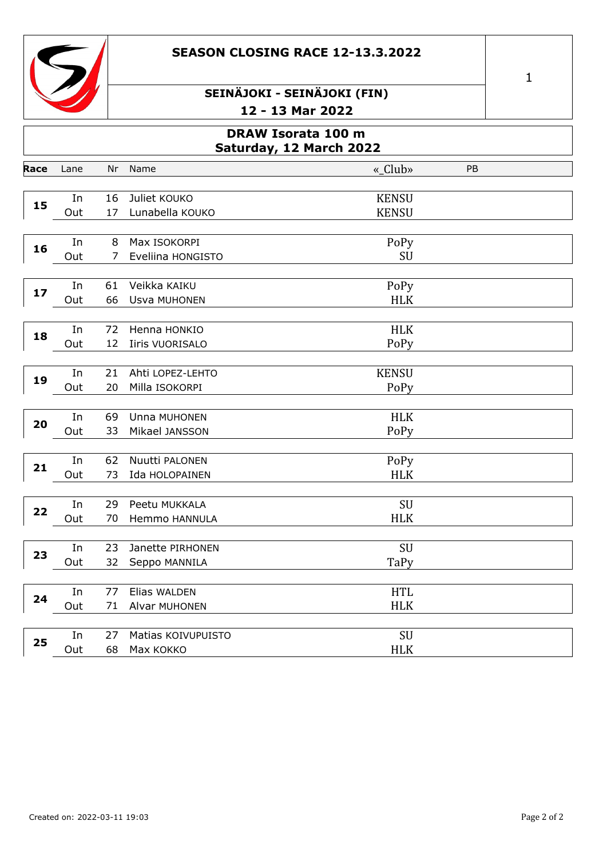



|             |                                               |          | ∸∠                                     | LJ MAI LUZZ                  |    |  |  |  |  |  |
|-------------|-----------------------------------------------|----------|----------------------------------------|------------------------------|----|--|--|--|--|--|
|             | DRAW Isorata 100 m<br>Saturday, 12 March 2022 |          |                                        |                              |    |  |  |  |  |  |
| <b>lace</b> | Lane                                          | Nr       | Name                                   | «_Club»                      | PB |  |  |  |  |  |
| 15          | In<br>Out                                     | 16<br>17 | Juliet KOUKO<br>Lunabella KOUKO        | <b>KENSU</b><br><b>KENSU</b> |    |  |  |  |  |  |
| 16          | In<br>Out                                     | 8<br>7   | Max ISOKORPI<br>Eveliina HONGISTO      | PoPy<br>SU                   |    |  |  |  |  |  |
| 17          | In<br>Out                                     | 61<br>66 | Veikka KAIKU<br>Usva MUHONEN           | PoPy<br><b>HLK</b>           |    |  |  |  |  |  |
| 18          | In<br>Out                                     | 72<br>12 | Henna HONKIO<br><b>Iiris VUORISALO</b> | <b>HLK</b><br>PoPy           |    |  |  |  |  |  |
| 19          | In<br>Out                                     | 21<br>20 | Ahti LOPEZ-LEHTO<br>Milla ISOKORPI     | <b>KENSU</b><br>PoPy         |    |  |  |  |  |  |
| 20          | In<br>Out                                     | 69<br>33 | Unna MUHONEN<br>Mikael JANSSON         | <b>HLK</b><br>PoPy           |    |  |  |  |  |  |
| 21          | In<br>Out                                     | 62<br>73 | Nuutti PALONEN<br>Ida HOLOPAINEN       | PoPy<br><b>HLK</b>           |    |  |  |  |  |  |
| 22          | In<br>Out                                     | 29<br>70 | Peetu MUKKALA<br>Hemmo HANNULA         | SU<br><b>HLK</b>             |    |  |  |  |  |  |
| 23          | In<br>Out                                     | 23<br>32 | Janette PIRHONEN<br>Seppo MANNILA      | SU<br>TaPy                   |    |  |  |  |  |  |
| 24          | In<br>Out                                     | 77<br>71 | Elias WALDEN<br>Alvar MUHONEN          | <b>HTL</b><br><b>HLK</b>     |    |  |  |  |  |  |
| 25          | In<br>Out                                     | 27<br>68 | Matias KOIVUPUISTO<br>Max KOKKO        | SU<br><b>HLK</b>             |    |  |  |  |  |  |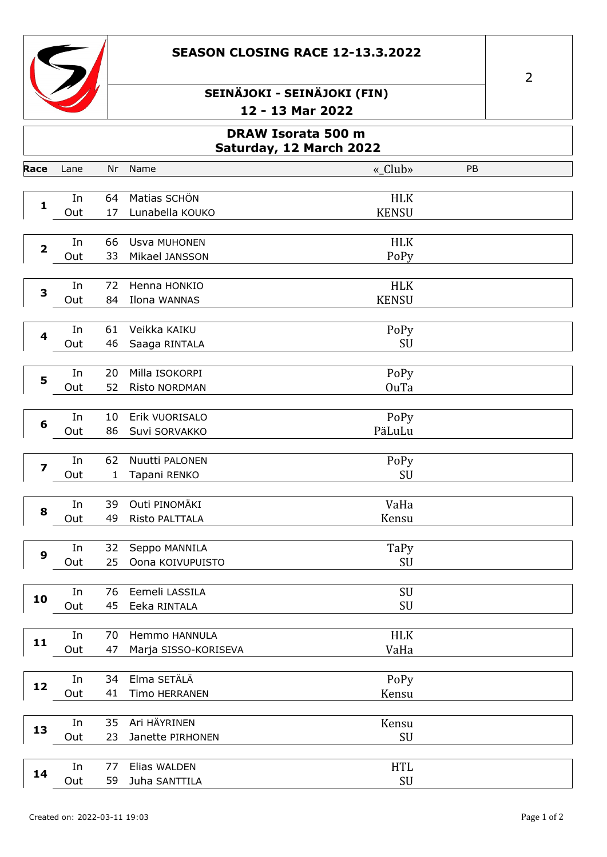



|                         | <b>DRAW Isorata 500 m</b><br>Saturday, 12 March 2022 |    |                      |              |    |  |  |  |  |
|-------------------------|------------------------------------------------------|----|----------------------|--------------|----|--|--|--|--|
| Race                    | Lane                                                 | Nr | Name                 | «_Club»      | PB |  |  |  |  |
|                         |                                                      |    |                      |              |    |  |  |  |  |
|                         | In                                                   | 64 | Matias SCHÖN         | <b>HLK</b>   |    |  |  |  |  |
| $\mathbf{1}$            | Out                                                  | 17 | Lunabella KOUKO      | <b>KENSU</b> |    |  |  |  |  |
|                         |                                                      |    |                      |              |    |  |  |  |  |
|                         | In                                                   | 66 | Usva MUHONEN         | <b>HLK</b>   |    |  |  |  |  |
| $\overline{\mathbf{2}}$ | Out                                                  | 33 | Mikael JANSSON       | PoPy         |    |  |  |  |  |
|                         |                                                      |    |                      |              |    |  |  |  |  |
|                         | In                                                   | 72 | Henna HONKIO         | <b>HLK</b>   |    |  |  |  |  |
| 3                       | Out                                                  | 84 | Ilona WANNAS         | <b>KENSU</b> |    |  |  |  |  |
|                         |                                                      |    |                      |              |    |  |  |  |  |
| 4                       | In                                                   | 61 | Veikka KAIKU         | PoPy         |    |  |  |  |  |
|                         | Out                                                  | 46 | Saaga RINTALA        | SU           |    |  |  |  |  |
|                         |                                                      |    |                      |              |    |  |  |  |  |
| 5                       | In                                                   | 20 | Milla ISOKORPI       | PoPy         |    |  |  |  |  |
|                         | Out                                                  | 52 | Risto NORDMAN        | OuTa         |    |  |  |  |  |
|                         |                                                      |    |                      |              |    |  |  |  |  |
| 6                       | In                                                   | 10 | Erik VUORISALO       | PoPy         |    |  |  |  |  |
|                         | Out                                                  | 86 | Suvi SORVAKKO        | PäLuLu       |    |  |  |  |  |
|                         |                                                      |    |                      |              |    |  |  |  |  |
| $\overline{\mathbf{z}}$ | In                                                   | 62 | Nuutti PALONEN       | PoPy         |    |  |  |  |  |
|                         | Out                                                  | 1  | Tapani RENKO         | SU           |    |  |  |  |  |
|                         |                                                      |    |                      |              |    |  |  |  |  |
| 8                       | In                                                   | 39 | Outi PINOMÄKI        | VaHa         |    |  |  |  |  |
|                         | Out                                                  | 49 | Risto PALTTALA       | Kensu        |    |  |  |  |  |
|                         |                                                      |    |                      |              |    |  |  |  |  |
| 9                       | In                                                   | 32 | Seppo MANNILA        | TaPy         |    |  |  |  |  |
|                         | Out                                                  | 25 | Oona KOIVUPUISTO     | SU           |    |  |  |  |  |
|                         |                                                      |    |                      |              |    |  |  |  |  |
| 10                      | In                                                   | 76 | Eemeli LASSILA       | SU           |    |  |  |  |  |
|                         | Out                                                  | 45 | Eeka RINTALA         | SU           |    |  |  |  |  |
|                         |                                                      |    |                      |              |    |  |  |  |  |
| 11                      | In                                                   | 70 | Hemmo HANNULA        | <b>HLK</b>   |    |  |  |  |  |
|                         | Out                                                  | 47 | Marja SISSO-KORISEVA | VaHa         |    |  |  |  |  |
|                         |                                                      |    |                      |              |    |  |  |  |  |
| 12                      | In                                                   | 34 | Elma SETÄLÄ          | PoPy         |    |  |  |  |  |
|                         | Out                                                  | 41 | Timo HERRANEN        | Kensu        |    |  |  |  |  |
|                         |                                                      |    |                      |              |    |  |  |  |  |
| 13                      | In                                                   | 35 | Ari HÄYRINEN         | Kensu        |    |  |  |  |  |
|                         | Out                                                  | 23 | Janette PIRHONEN     | SU           |    |  |  |  |  |
|                         |                                                      |    |                      |              |    |  |  |  |  |
| $\blacksquare$          | In                                                   | 77 | Elias WALDEN         | <b>HTL</b>   |    |  |  |  |  |

59 Juha SANTTILA

Out

 $\ensuremath{\mathrm{SU}}$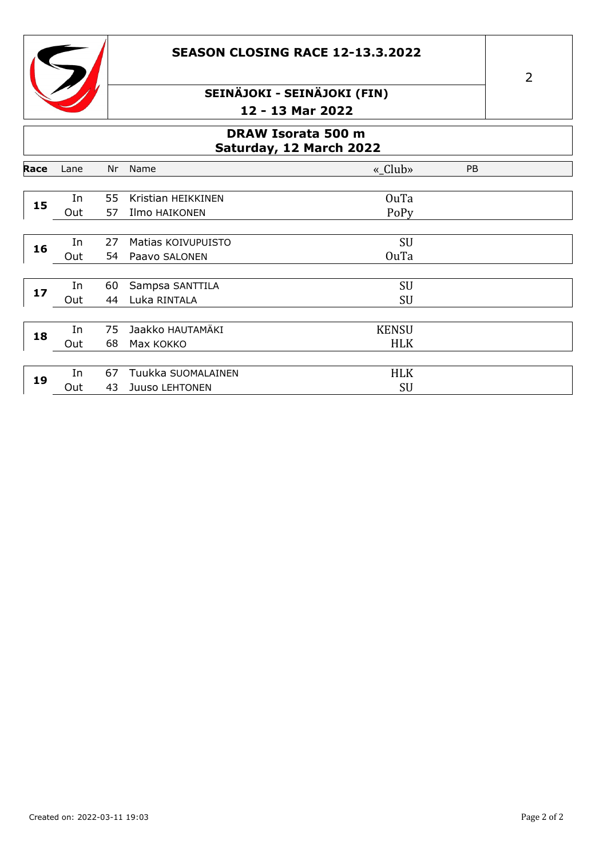



### **DRAW Isorata 500 m Saturday, 12 March 2022**

| Race | Lane | Nr | Name               | « $Club$     | PB |
|------|------|----|--------------------|--------------|----|
|      |      |    |                    |              |    |
| 15   | In   | 55 | Kristian HEIKKINEN | OuTa         |    |
|      | Out  | 57 | Ilmo HAIKONEN      | PoPy         |    |
|      |      |    |                    |              |    |
| 16   | In   | 27 | Matias KOIVUPUISTO | <b>SU</b>    |    |
|      | Out  | 54 | Paavo SALONEN      | <b>OuTa</b>  |    |
|      |      |    |                    |              |    |
| 17   | In   | 60 | Sampsa SANTTILA    | SU           |    |
|      | Out  | 44 | Luka RINTALA       | SU           |    |
|      |      |    |                    |              |    |
| 18   | In   | 75 | Jaakko HAUTAMÄKI   | <b>KENSU</b> |    |
|      | Out  | 68 | Max KOKKO          | <b>HLK</b>   |    |
|      |      |    |                    |              |    |
| 19   | In   | 67 | Tuukka SUOMALAINEN | <b>HLK</b>   |    |
|      | Out  | 43 | Juuso LEHTONEN     | SU           |    |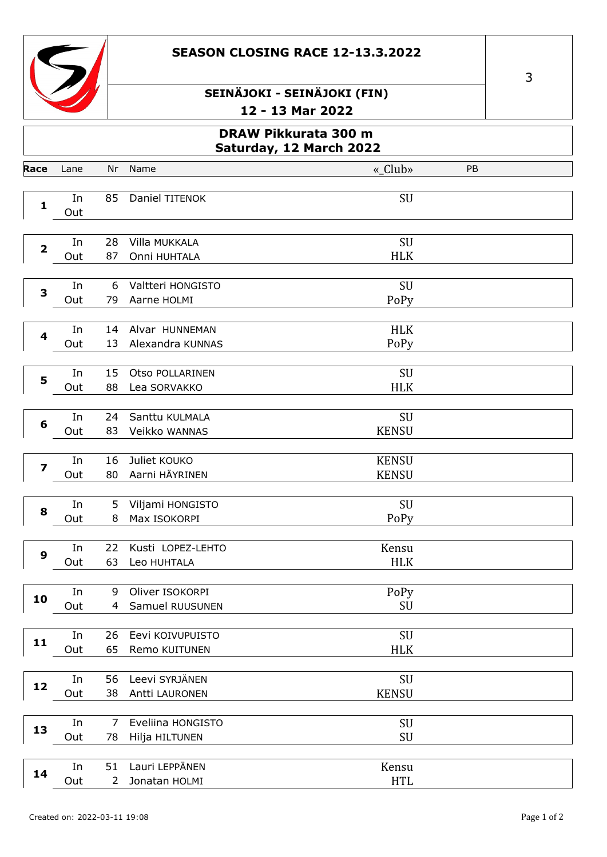



# **DRAW Pikkurata 300 m Saturday, 12 March 2022 Race** Lane Nr Name «\_Club» PB **1** In 85 Daniel TITENOK SU Out **2** In 28 Villa MUKKALA SU Out 87 Onni HUHTALA HLK **3** In 6 Valtteri HONGISTO SU Out 79 Aarne HOLMI PoPy **4** In 14 Alvar HUNNEMAN HURST HURST HURST HURST HURST HURST HURST HURST HURST HURST HURST HURST HURST HURST HURST Out 13 Alexandra KUNNAS PoPy **5** In 15 Otso POLLARINEN SU Out 88 Lea SORVAKKO HLK **6** In 24 Santtu KULMALA SU Out 83 Veikko WANNAS KENSU **7** In 16 Juliet KOUKO KENSU Out 80 Aarni HÄYRINEN KENSU **8** In 5 Viljami HONGISTO SU Out 8 Max ISOKORPI PoPy **9** In 22 Kusti LOPEZ-LEHTO Kensu Out 63 Leo HUHTALA **Human** HLK **10** In 9 Oliver ISOKORPI PoPy<br>
Out 4 Samuel RUUSUNEN SU Samuel RUUSUNEN **11** In 26 Eevi KOIVUPUISTO SU<br>
Out 65 Remo KUITUNEN HLK 65 Remo KUITUNEN **12** In 56 Leevi SYRJÄNEN SU<br>Out 38 Antti LAURONEN KENSU 38 Antti LAURONEN **13** In 7 Eveliina HONGISTO SU<br>
Out 78 Hilja HILTUNEN SU 78 Hilja HILTUNEN **14** In 51 Lauri LEPPÄNEN Kensu<br>
Out 2 Jonatan HOLMI MTL Jonatan HOLMI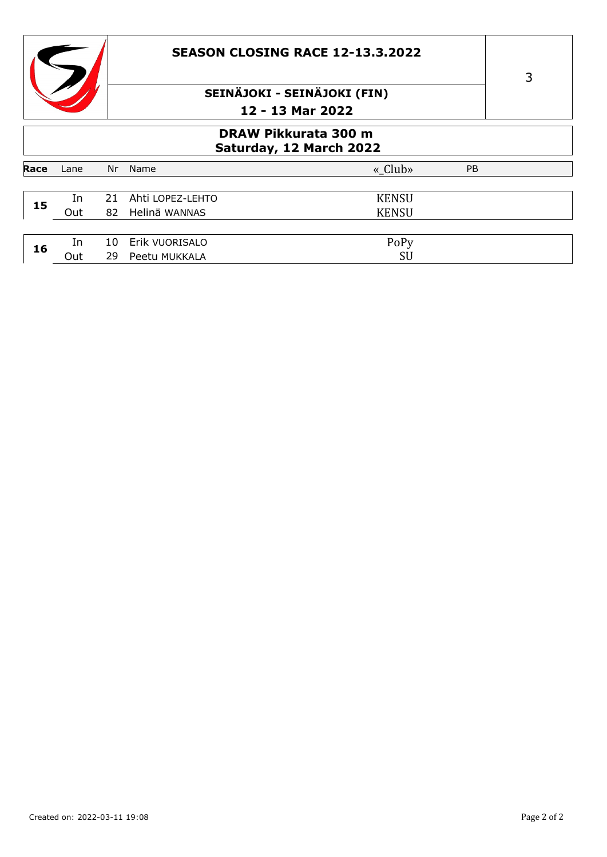



### **DRAW Pikkurata 300 m Saturday, 12 March 2022**

| Race | Lane | Nr  | Name             | « $Club$<br><b>PB</b> |
|------|------|-----|------------------|-----------------------|
|      |      |     |                  |                       |
|      | In   | 21  | Ahti LOPEZ-LEHTO | <b>KENSU</b>          |
| 15   | Out  | 82  | Helinä WANNAS    | <b>KENSU</b>          |
|      |      |     |                  |                       |
| 16   | In   | 10. | Erik VUORISALO   | PoPy                  |
|      | Out  | 29  | Peetu MUKKALA    | SU                    |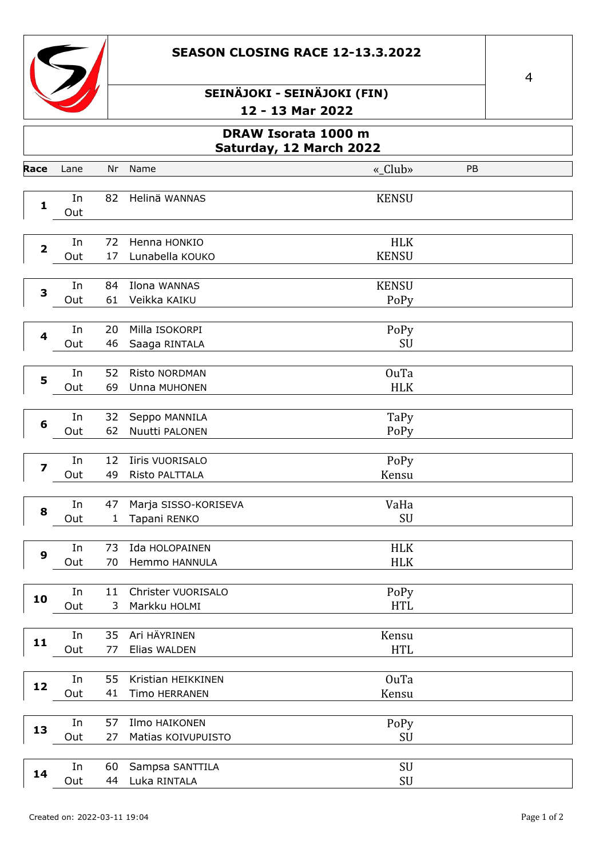



|                         | DRAW Isorata 1000 m<br>Saturday, 12 March 2022 |                    |                                      |              |    |  |  |  |  |
|-------------------------|------------------------------------------------|--------------------|--------------------------------------|--------------|----|--|--|--|--|
| Race                    | Lane                                           | Nr                 | Name                                 | «_Club»      | PB |  |  |  |  |
|                         |                                                |                    |                                      |              |    |  |  |  |  |
| $\mathbf{1}$            | In                                             | 82                 | Helinä WANNAS                        | <b>KENSU</b> |    |  |  |  |  |
|                         | Out                                            |                    |                                      |              |    |  |  |  |  |
|                         | In                                             | 72                 | Henna HONKIO                         | <b>HLK</b>   |    |  |  |  |  |
| $\overline{\mathbf{2}}$ | Out                                            | 17                 | Lunabella KOUKO                      | <b>KENSU</b> |    |  |  |  |  |
|                         |                                                |                    |                                      |              |    |  |  |  |  |
| 3                       | In                                             | 84                 | Ilona WANNAS                         | <b>KENSU</b> |    |  |  |  |  |
|                         | Out                                            | 61                 | Veikka KAIKU                         | PoPy         |    |  |  |  |  |
|                         |                                                |                    |                                      |              |    |  |  |  |  |
| 4                       | In                                             | 20                 | Milla ISOKORPI                       | PoPy         |    |  |  |  |  |
|                         | Out                                            | 46                 | Saaga RINTALA                        | SU           |    |  |  |  |  |
|                         | In                                             | 52                 | Risto NORDMAN                        | <b>OuTa</b>  |    |  |  |  |  |
| 5                       | Out                                            | 69                 | Unna MUHONEN                         | <b>HLK</b>   |    |  |  |  |  |
|                         |                                                |                    |                                      |              |    |  |  |  |  |
|                         | In                                             | 32                 | Seppo MANNILA                        | TaPy         |    |  |  |  |  |
| 6                       | Out                                            | 62                 | Nuutti PALONEN                       | PoPy         |    |  |  |  |  |
|                         |                                                |                    |                                      |              |    |  |  |  |  |
| $\overline{\mathbf{z}}$ | In                                             | 12                 | <b>Iiris VUORISALO</b>               | PoPy         |    |  |  |  |  |
|                         | Out                                            | 49                 | Risto PALTTALA                       | Kensu        |    |  |  |  |  |
|                         |                                                |                    |                                      |              |    |  |  |  |  |
| 8                       | In<br>Out                                      | 47<br>$\mathbf{1}$ | Marja SISSO-KORISEVA<br>Tapani RENKO | VaHa<br>SU   |    |  |  |  |  |
|                         |                                                |                    |                                      |              |    |  |  |  |  |
|                         | In                                             | 73                 | Ida HOLOPAINEN                       | <b>HLK</b>   |    |  |  |  |  |
| 9                       | Out                                            | 70                 | Hemmo HANNULA                        | <b>HLK</b>   |    |  |  |  |  |
|                         |                                                |                    |                                      |              |    |  |  |  |  |
| 10                      | In                                             | 11                 | Christer VUORISALO                   | PoPy         |    |  |  |  |  |
|                         | Out                                            | 3                  | Markku HOLMI                         | <b>HTL</b>   |    |  |  |  |  |
|                         |                                                |                    |                                      |              |    |  |  |  |  |
| 11                      | In                                             | 35                 | Ari HÄYRINEN                         | Kensu        |    |  |  |  |  |
|                         | Out                                            | 77                 | Elias WALDEN                         | <b>HTL</b>   |    |  |  |  |  |
|                         |                                                |                    |                                      |              |    |  |  |  |  |
| 12                      | In                                             | 55                 | Kristian HEIKKINEN                   | OuTa         |    |  |  |  |  |
|                         | Out                                            | 41                 | Timo HERRANEN                        | Kensu        |    |  |  |  |  |
|                         | In                                             | 57                 | Ilmo HAIKONEN                        | PoPy         |    |  |  |  |  |
| 13                      | Out                                            | 27                 | Matias KOIVUPUISTO                   | SU           |    |  |  |  |  |
|                         |                                                |                    |                                      |              |    |  |  |  |  |
|                         | In                                             | 60                 | Sampsa SANTTILA                      | SU           |    |  |  |  |  |
| 14                      | Out                                            | 44                 | Luka RINTALA                         | SU           |    |  |  |  |  |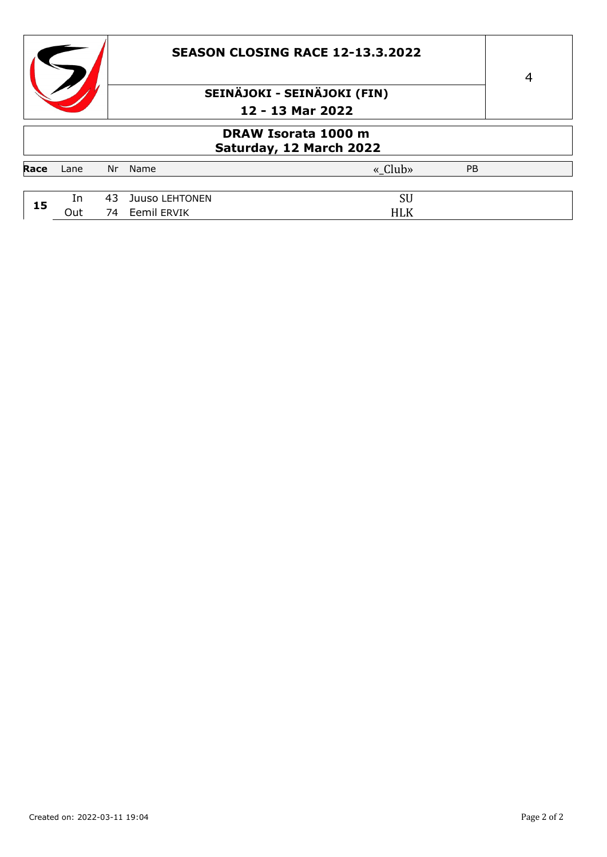|      |                                                |    |                                  | <b>SEASON CLOSING RACE 12-13.3.2022</b> | $\overline{4}$ |  |  |  |  |  |  |
|------|------------------------------------------------|----|----------------------------------|-----------------------------------------|----------------|--|--|--|--|--|--|
|      |                                                |    | SEINÄJOKI - SEINÄJOKI (FIN)      |                                         |                |  |  |  |  |  |  |
|      |                                                |    |                                  | 12 - 13 Mar 2022                        |                |  |  |  |  |  |  |
|      | DRAW Isorata 1000 m<br>Saturday, 12 March 2022 |    |                                  |                                         |                |  |  |  |  |  |  |
| Race | Lane                                           | Nr | Name                             | « Club»<br>PB                           |                |  |  |  |  |  |  |
|      |                                                |    |                                  |                                         |                |  |  |  |  |  |  |
| 15   | In<br>Out                                      | 43 | Juuso LEHTONEN<br>74 Eemil ERVIK | SU<br><b>HLK</b>                        |                |  |  |  |  |  |  |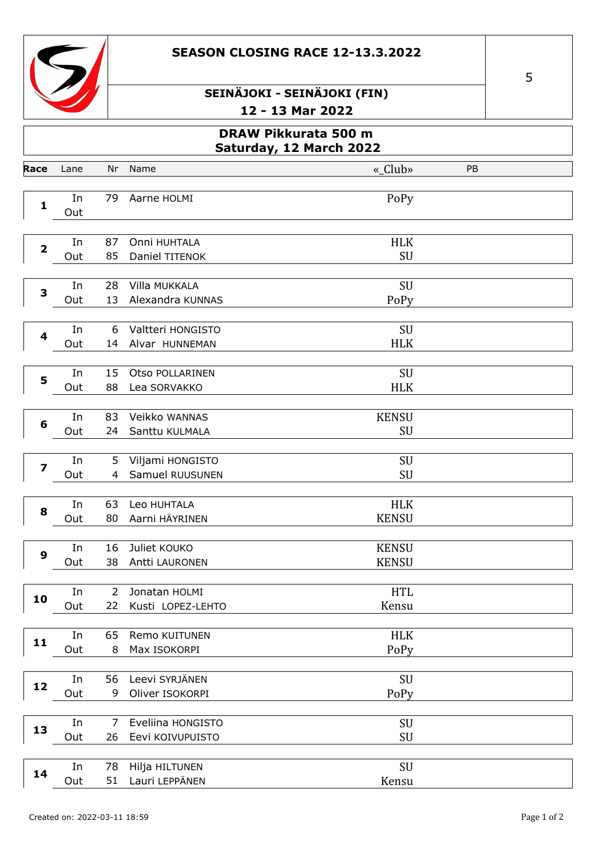



|                         | DRAW Pikkurata 500 m<br>Saturday, 12 March 2022 |          |                                       |                              |    |  |  |  |  |
|-------------------------|-------------------------------------------------|----------|---------------------------------------|------------------------------|----|--|--|--|--|
| Race                    | Lane                                            | Nr       | Name                                  | «_Club»                      | PB |  |  |  |  |
| $\mathbf 1$             | In<br>Out                                       | 79       | Aarne HOLMI                           | PoPy                         |    |  |  |  |  |
| $\overline{\mathbf{2}}$ | In<br>Out                                       | 87<br>85 | Onni HUHTALA<br>Daniel TITENOK        | <b>HLK</b><br>SU             |    |  |  |  |  |
| 3                       | In<br>Out                                       | 28<br>13 | Villa MUKKALA<br>Alexandra KUNNAS     | SU<br>PoPy                   |    |  |  |  |  |
| 4                       | In<br>Out                                       | 6<br>14  | Valtteri HONGISTO<br>Alvar HUNNEMAN   | SU<br><b>HLK</b>             |    |  |  |  |  |
| 5                       | In<br>Out                                       | 15<br>88 | Otso POLLARINEN<br>Lea SORVAKKO       | SU<br><b>HLK</b>             |    |  |  |  |  |
| $6\phantom{1}6$         | In<br>Out                                       | 83<br>24 | Veikko WANNAS<br>Santtu KULMALA       | <b>KENSU</b><br>SU           |    |  |  |  |  |
| $\overline{\mathbf{z}}$ | In<br>Out                                       | 5<br>4   | Viljami HONGISTO<br>Samuel RUUSUNEN   | SU<br>SU                     |    |  |  |  |  |
| 8                       | In<br>Out                                       | 63<br>80 | Leo HUHTALA<br>Aarni HÄYRINEN         | <b>HLK</b><br><b>KENSU</b>   |    |  |  |  |  |
| 9                       | In<br>Out                                       | 16<br>38 | Juliet KOUKO<br>Antti LAURONEN        | <b>KENSU</b><br><b>KENSU</b> |    |  |  |  |  |
| 10                      | In<br>Out                                       | 2<br>22  | Jonatan HOLMI<br>Kusti LOPEZ-LEHTO    | <b>HTL</b><br>Kensu          |    |  |  |  |  |
| 11                      | In<br>Out                                       | 65<br>8  | Remo KUITUNEN<br>Max ISOKORPI         | <b>HLK</b><br>PoPy           |    |  |  |  |  |
| 12                      | In<br>Out                                       | 56<br>9  | Leevi SYRJÄNEN<br>Oliver ISOKORPI     | SU<br>PoPy                   |    |  |  |  |  |
| 13                      | In<br>Out                                       | 7<br>26  | Eveliina HONGISTO<br>Eevi KOIVUPUISTO | SU<br>SU                     |    |  |  |  |  |
| 14                      | In<br>Out                                       | 78<br>51 | Hilja HILTUNEN<br>Lauri LEPPÄNEN      | SU<br>Kensu                  |    |  |  |  |  |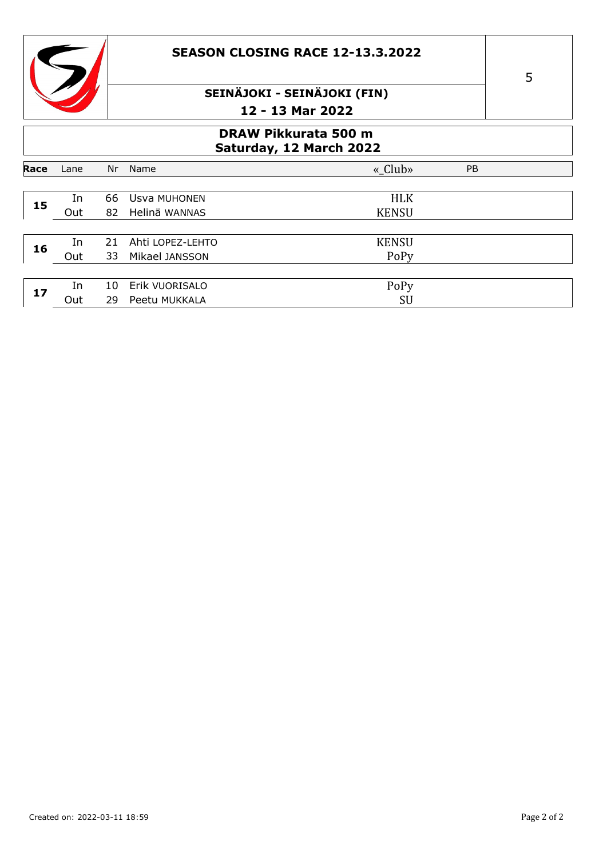



#### **DRAW Pikkurata 500 m Saturday, 12 March 2022**

|      |      |    |                  | <u>Suturuu // 11 riul Cir 1951</u> |           |
|------|------|----|------------------|------------------------------------|-----------|
| Race | Lane | Nr | Name             | «_Club»                            | <b>PB</b> |
|      |      |    |                  |                                    |           |
| 15   | In   | 66 | Usva MUHONEN     | <b>HLK</b>                         |           |
|      | Out  | 82 | Helinä WANNAS    | <b>KENSU</b>                       |           |
|      |      |    |                  |                                    |           |
| 16   | In   | 21 | Ahti LOPEZ-LEHTO | <b>KENSU</b>                       |           |
|      | Out  | 33 | Mikael JANSSON   | PoPy                               |           |
|      |      |    |                  |                                    |           |
| 17   | In   | 10 | Erik VUORISALO   | PoPy                               |           |
|      | Out  | 29 | Peetu MUKKALA    | SU                                 |           |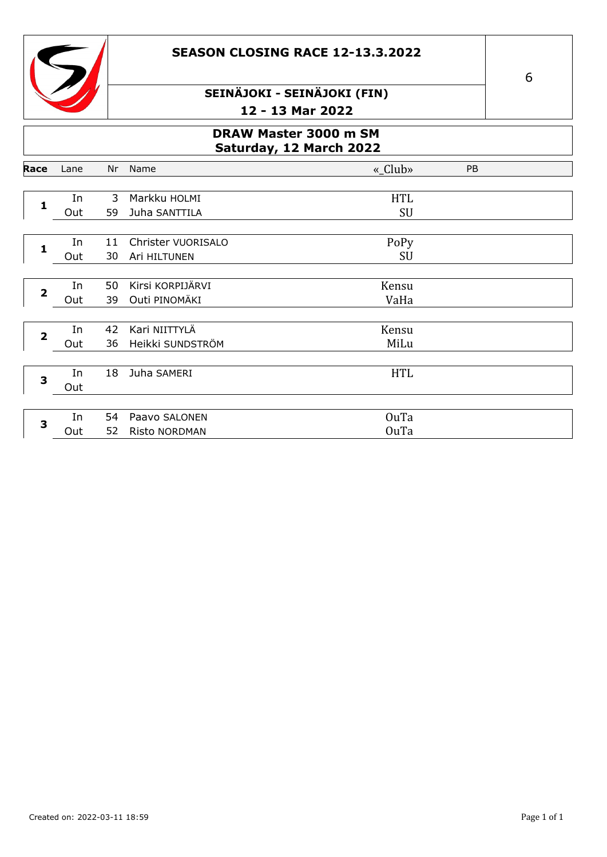



### **DRAW Master 3000 m SM Saturday, 12 March 2022**

| Lane | Nr | Name                 | «_Club»     | PB   |
|------|----|----------------------|-------------|------|
|      |    |                      |             |      |
| In   | 3  | Markku HOLMI         | <b>HTL</b>  |      |
| Out  | 59 | Juha SANTTILA        | SU          |      |
|      |    |                      |             |      |
| In   | 11 | Christer VUORISALO   |             |      |
| Out  | 30 | Ari HILTUNEN         | SU          |      |
|      |    |                      |             |      |
| In   | 50 | Kirsi KORPIJÄRVI     | Kensu       |      |
| Out  | 39 | Outi PINOMÄKI        | VaHa        |      |
|      |    |                      |             |      |
| In   | 42 | Kari NIITTYLÄ        | Kensu       |      |
| Out  | 36 | Heikki SUNDSTRÖM     | MiLu        |      |
|      |    |                      |             |      |
| In   | 18 | Juha SAMERI          | <b>HTL</b>  |      |
| Out  |    |                      |             |      |
|      |    |                      |             |      |
| In   | 54 | Paavo SALONEN        | <b>OuTa</b> |      |
| Out  | 52 | <b>Risto NORDMAN</b> | <b>OuTa</b> |      |
|      |    |                      |             | PoPy |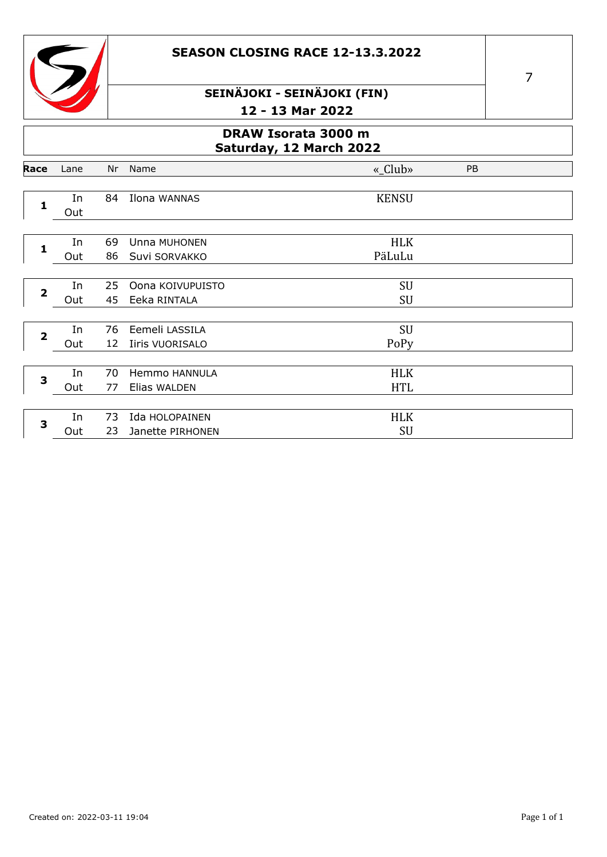



Lane

Race

# SEINÄJOKI - SEINÄJOKI (FIN) 12 - 13 Mar 2022

#### DRAW Isorata 3000 m Saturday, 12 March 2022 «\_Club»  $PB$ Nr Name

|                | In  | 84 | Ilona WANNAS     | <b>KENSU</b> |  |
|----------------|-----|----|------------------|--------------|--|
| 1              | Out |    |                  |              |  |
|                |     |    |                  |              |  |
| 1              | In  | 69 | Unna MUHONEN     | <b>HLK</b>   |  |
|                | Out | 86 | Suvi SORVAKKO    | PäLuLu       |  |
|                |     |    |                  |              |  |
| $\overline{2}$ | In  | 25 | Oona KOIVUPUISTO | <b>SU</b>    |  |
|                | Out | 45 | Eeka RINTALA     | SU           |  |
|                |     |    |                  |              |  |
| $\overline{2}$ | In  | 76 | Eemeli LASSILA   | SU           |  |
|                | Out | 12 | Iiris VUORISALO  | PoPy         |  |
|                |     |    |                  |              |  |
| 3              | In  | 70 | Hemmo HANNULA    | <b>HLK</b>   |  |
|                | Out | 77 | Elias WALDEN     | <b>HTL</b>   |  |
|                |     |    |                  |              |  |
| 3              | In  | 73 | Ida HOLOPAINEN   | <b>HLK</b>   |  |
|                | Out | 23 | Janette PIRHONEN | <b>SU</b>    |  |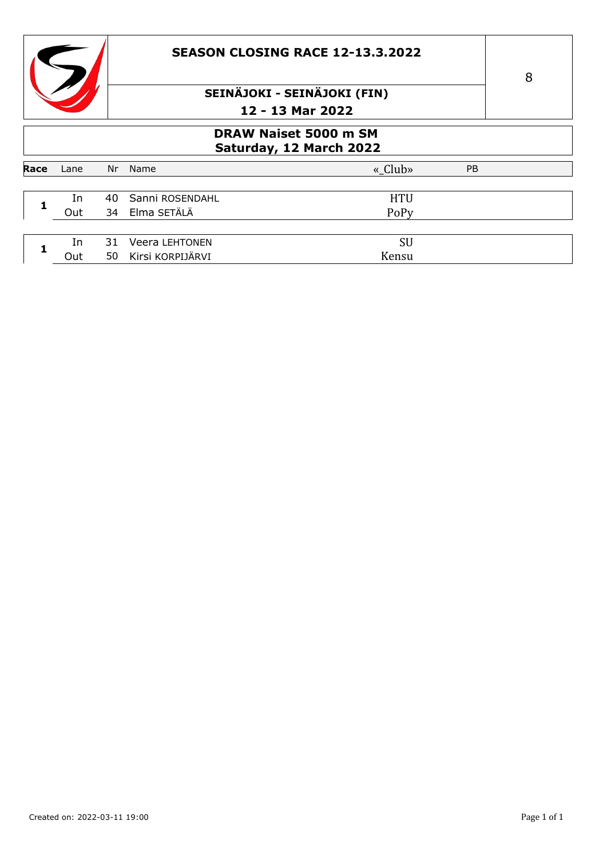

### **SEASON CLOSING RACE 12-13.3.2022**

# SEINÄJOKI - SEINÄJOKI (FIN) 12 - 13 Mar 2022

### **DRAW Naiset 5000 m SM** Saturday, 12 March 2022

|      |      |    |                       | . .        |           |  |
|------|------|----|-----------------------|------------|-----------|--|
|      |      |    |                       |            |           |  |
| Race | Lane | Nr | Name                  | « Club»    | <b>PB</b> |  |
|      |      |    |                       |            |           |  |
|      | In   |    | 40 Sanni ROSENDAHL    | <b>HTU</b> |           |  |
|      | Out  |    | 34 Elma SETÄLÄ        | PoPy       |           |  |
|      |      |    |                       |            |           |  |
|      | In   | 31 | <b>Veera LEHTONEN</b> | SU         |           |  |
|      | Out  | 50 | Kirsi KORPIJÄRVI      | Kensu      |           |  |